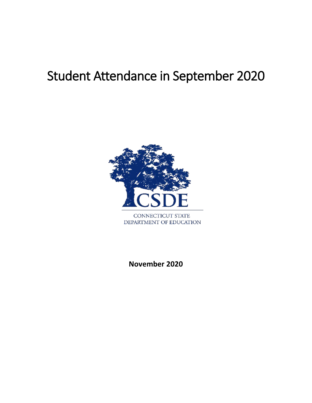# Student Attendance in September 2020



**November 2020**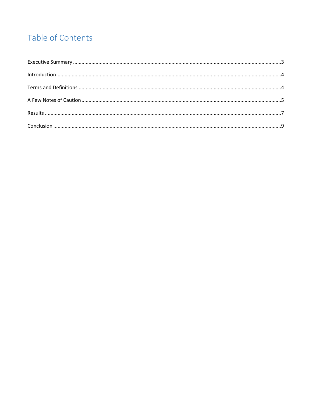## Table of Contents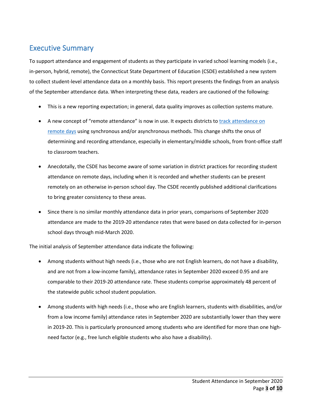## <span id="page-2-0"></span>Executive Summary

To support attendance and engagement of students as they participate in varied school learning models (i.e., in-person, hybrid, remote), the Connecticut State Department of Education (CSDE) established a new system to collect student-level attendance data on a monthly basis. This report presents the findings from an analysis of the September attendance data. When interpreting these data, readers are cautioned of the following:

- This is a new reporting expectation; in general, data quality improves as collection systems mature.
- A new concept of "remote attendance" is now in use. It expects districts to [track attendance on](https://portal.ct.gov/-/media/SDE/Digest/2020-21/Tracking-Attendance-On-Remote-Days-For-State-Reporting.pdf)  [remote days](https://portal.ct.gov/-/media/SDE/Digest/2020-21/Tracking-Attendance-On-Remote-Days-For-State-Reporting.pdf) using synchronous and/or asynchronous methods. This change shifts the onus of determining and recording attendance, especially in elementary/middle schools, from front-office staff to classroom teachers.
- Anecdotally, the CSDE has become aware of some variation in district practices for recording student attendance on remote days, including when it is recorded and whether students can be present remotely on an otherwise in-person school day. The CSDE recently published additional clarifications to bring greater consistency to these areas.
- Since there is no similar monthly attendance data in prior years, comparisons of September 2020 attendance are made to the 2019-20 attendance rates that were based on data collected for in-person school days through mid-March 2020.

The initial analysis of September attendance data indicate the following:

- Among students without high needs (i.e., those who are not English learners, do not have a disability, and are not from a low-income family), attendance rates in September 2020 exceed 0.95 and are comparable to their 2019-20 attendance rate. These students comprise approximately 48 percent of the statewide public school student population.
- Among students with high needs (i.e., those who are English learners, students with disabilities, and/or from a low income family) attendance rates in September 2020 are substantially lower than they were in 2019-20. This is particularly pronounced among students who are identified for more than one highneed factor (e.g., free lunch eligible students who also have a disability).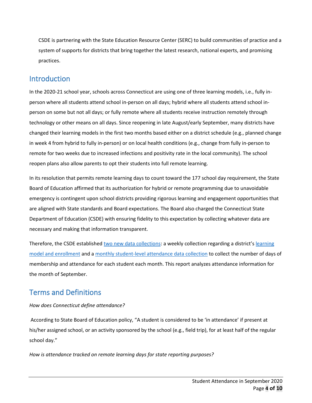CSDE is partnering with the State Education Resource Center (SERC) to build communities of practice and a system of supports for districts that bring together the latest research, national experts, and promising practices.

## <span id="page-3-0"></span>**Introduction**

In the 2020-21 school year, schools across Connecticut are using one of three learning models, i.e., fully inperson where all students attend school in-person on all days; hybrid where all students attend school inperson on some but not all days; or fully remote where all students receive instruction remotely through technology or other means on all days. Since reopening in late August/early September, many districts have changed their learning models in the first two months based either on a district schedule (e.g., planned change in week 4 from hybrid to fully in-person) or on local health conditions (e.g., change from fully in-person to remote for two weeks due to increased infections and positivity rate in the local community). The school reopen plans also allow parents to opt their students into full remote learning.

In its resolution that permits remote learning days to count toward the 177 school day requirement, the State Board of Education affirmed that its authorization for hybrid or remote programming due to unavoidable emergency is contingent upon school districts providing rigorous learning and engagement opportunities that are aligned with State standards and Board expectations. The Board also charged the Connecticut State Department of Education (CSDE) with ensuring fidelity to this expectation by collecting whatever data are necessary and making that information transparent.

Therefore, the CSDE establishe[d two new data collections:](https://portal.ct.gov/-/media/SDE/Digest/2020-21/DataCollectionsToSupportStudentEngagement-Superintendents-Memo.pdf) a weekly collection regarding a district's learning [model and enrollment](https://portal.ct.gov/SDE/COVID19/Learning-Model-and-Enrollment-Data-Collection) and a [monthly student-level attendance data collection](https://portal.ct.gov/-/media/SDE/Performance/Data-Collection/Help-Sites/PSIS/MonthlyStudentAttendance.pdf) to collect the number of days of membership and attendance for each student each month. This report analyzes attendance information for the month of September.

## <span id="page-3-1"></span>Terms and Definitions

#### *How does Connecticut define attendance?*

According to State Board of Education policy, "A student is considered to be 'in attendance' if present at his/her assigned school, or an activity sponsored by the school (e.g., field trip), for at least half of the regular school day."

*How is attendance tracked on remote learning days for state reporting purposes?*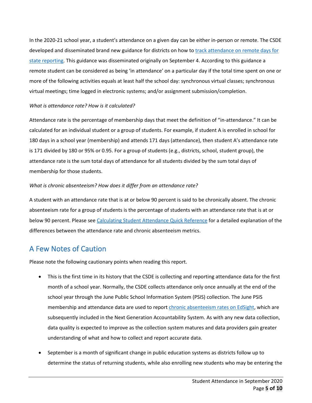In the 2020-21 school year, a student's attendance on a given day can be either in-person or remote. The CSDE developed and disseminated brand new guidance for districts on how to track attendance on remote days for [state reporting.](https://portal.ct.gov/-/media/SDE/Digest/2020-21/Tracking-Attendance-On-Remote-Days-For-State-Reporting.pdf) This guidance was disseminated originally on September 4. According to this guidance a remote student can be considered as being 'in attendance' on a particular day if the total time spent on one or more of the following activities equals at least half the school day: synchronous virtual classes; synchronous virtual meetings; time logged in electronic systems; and/or assignment submission/completion.

#### *What is attendance rate? How is it calculated?*

Attendance rate is the percentage of membership days that meet the definition of "in-attendance." It can be calculated for an individual student or a group of students. For example, if student A is enrolled in school for 180 days in a school year (membership) and attends 171 days (attendance), then student A's attendance rate is 171 divided by 180 or 95% or 0.95. For a group of students (e.g., districts, school, student group), the attendance rate is the sum total days of attendance for all students divided by the sum total days of membership for those students.

#### *What is chronic absenteeism? How does it differ from an attendance rate?*

A student with an attendance rate that is at or below 90 percent is said to be chronically absent. The chronic absenteeism rate for a group of students is the percentage of students with an attendance rate that is at or below 90 percent. Please see [Calculating Student Attendance Quick Reference](https://portal.ct.gov/-/media/SDE/Performance/Data-Collection/Help-Sites/PSIS/attendance/StudentAttendanceReference_PDF.pdf) for a detailed explanation of the differences between the attendance rate and chronic absenteeism metrics.

## <span id="page-4-0"></span>A Few Notes of Caution

Please note the following cautionary points when reading this report.

- This is the first time in its history that the CSDE is collecting and reporting attendance data for the first month of a school year. Normally, the CSDE collects attendance only once annually at the end of the school year through the June Public School Information System (PSIS) collection. The June PSIS membership and attendance data are used to repor[t chronic absenteeism rates on EdSight,](http://edsight.ct.gov/SASStoredProcess/guest?_program=%2FCTDOE%2FEdSight%2FRelease%2FReporting%2FPublic%2FReports%2FStoredProcesses%2FChronicAbsenteeismReport&_year=Trend&_district=State+of+Connecticut&_subgroup=All+Students&_select=Submit) which are subsequently included in the Next Generation Accountability System. As with any new data collection, data quality is expected to improve as the collection system matures and data providers gain greater understanding of what and how to collect and report accurate data.
- September is a month of significant change in public education systems as districts follow up to determine the status of returning students, while also enrolling new students who may be entering the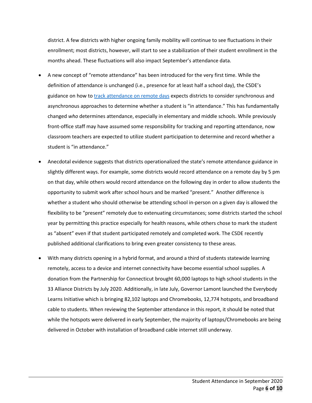district. A few districts with higher ongoing family mobility will continue to see fluctuations in their enrollment; most districts, however, will start to see a stabilization of their student enrollment in the months ahead. These fluctuations will also impact September's attendance data.

- A new concept of "remote attendance" has been introduced for the very first time. While the definition of attendance is unchanged (i.e., presence for at least half a school day), the CSDE's guidance on how t[o track attendance on remote days](https://portal.ct.gov/-/media/SDE/Digest/2020-21/Tracking-Attendance-On-Remote-Days-For-State-Reporting.pdf) expects districts to consider synchronous and asynchronous approaches to determine whether a student is "in attendance." This has fundamentally changed *who* determines attendance, especially in elementary and middle schools. While previously front-office staff may have assumed some responsibility for tracking and reporting attendance, now classroom teachers are expected to utilize student participation to determine and record whether a student is "in attendance."
- Anecdotal evidence suggests that districts operationalized the state's remote attendance guidance in slightly different ways. For example, some districts would record attendance on a remote day by 5 pm on that day, while others would record attendance on the following day in order to allow students the opportunity to submit work after school hours and be marked "present." Another difference is whether a student who should otherwise be attending school in-person on a given day is allowed the flexibility to be "present" remotely due to extenuating circumstances; some districts started the school year by permitting this practice especially for health reasons, while others chose to mark the student as "absent" even if that student participated remotely and completed work. The CSDE recently published additional clarifications to bring even greater consistency to these areas.
- With many districts opening in a hybrid format, and around a third of students statewide learning remotely, access to a device and internet connectivity have become essential school supplies. A donation from the Partnership for Connecticut brought 60,000 laptops to high school students in the 33 Alliance Districts by July 2020. Additionally, in late July, Governor Lamont launched the Everybody Learns Initiative which is bringing 82,102 laptops and Chromebooks, 12,774 hotspots, and broadband cable to students. When reviewing the September attendance in this report, it should be noted that while the hotspots were delivered in early September, the majority of laptops/Chromebooks are being delivered in October with installation of broadband cable internet still underway.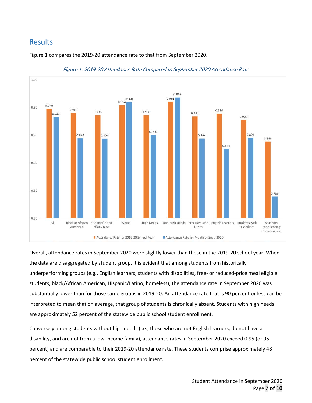## <span id="page-6-0"></span>Results

Figure 1 compares the 2019-20 attendance rate to that from September 2020.



Figure 1: 2019-20 Attendance Rate Compared to September 2020 Attendance Rate

Overall, attendance rates in September 2020 were slightly lower than those in the 2019-20 school year. When the data are disaggregated by student group, it is evident that among students from historically underperforming groups (e.g., English learners, students with disabilities, free- or reduced-price meal eligible students, black/African American, Hispanic/Latino, homeless), the attendance rate in September 2020 was substantially lower than for those same groups in 2019-20. An attendance rate that is 90 percent or less can be interpreted to mean that on average, that group of students is chronically absent. Students with high needs are approximately 52 percent of the statewide public school student enrollment.

Conversely among students without high needs (i.e., those who are not English learners, do not have a disability, and are not from a low-income family), attendance rates in September 2020 exceed 0.95 (or 95 percent) and are comparable to their 2019-20 attendance rate. These students comprise approximately 48 percent of the statewide public school student enrollment.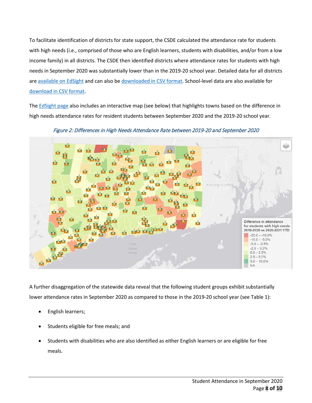To facilitate identification of districts for state support, the CSDE calculated the attendance rate for students with high needs (i.e., comprised of those who are English learners, students with disabilities, and/or from a low income family) in all districts. The CSDE then identified districts where attendance rates for students with high needs in September 2020 was substantially lower than in the 2019-20 school year. Detailed data for all districts ar[e available on EdSight](http://edsight.ct.gov/relatedreports/Supporting%20Student%20Participation%20in%202020-21.html) and can also be [downloaded in CSV format.](https://data.ct.gov/resource/226r-dnit.csv) School-level data are also available for [download in CSV format.](https://data.ct.gov/resource/jahr-cskc.csv)

Th[e EdSight page](http://edsight.ct.gov/relatedreports/Supporting%20Student%20Participation%20in%202020-21.html) also includes an interactive map (see below) that highlights towns based on the difference in high needs attendance rates for resident students between September 2020 and the 2019-20 school year.



Figure 2: Differences in High Needs Attendance Rate between 2019-20 and September 2020

A further disaggregation of the statewide data reveal that the following student groups exhibit substantially lower attendance rates in September 2020 as compared to those in the 2019-20 school year (see Table 1):

- English learners;
- Students eligible for free meals; and
- Students with disabilities who are also identified as either English learners or are eligible for free meals.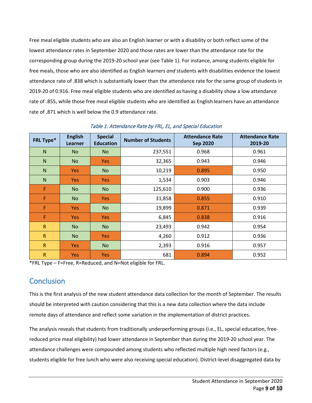Free meal eligible students who are also an English learner or with a disability or both reflect some of the lowest attendance rates in September 2020 and those rates are lower than the attendance rate for the corresponding group during the 2019-20 school year (see Table 1). For instance, among students eligible for free meals, those who are also identified as English learners *and* students with disabilities evidence the lowest attendance rate of .838 which is substantially lower than the attendance rate for the same group of students in 2019-20 of 0.916. Free meal eligible students who are identified as having a disability show a low attendance rate of .855, while those free meal eligible students who are identified as English learners have an attendance rate of .871 which is well below the 0.9 attendance rate.

| FRL Type*    | <b>English</b><br><b>Learner</b> | <b>Special</b><br><b>Education</b> | <b>Number of Students</b> | <b>Attendance Rate</b><br><b>Sep 2020</b> | <b>Attendance Rate</b><br>2019-20 |
|--------------|----------------------------------|------------------------------------|---------------------------|-------------------------------------------|-----------------------------------|
| N            | <b>No</b>                        | N <sub>o</sub>                     | 237,551                   | 0.968                                     | 0.961                             |
| $\mathsf{N}$ | <b>No</b>                        | <b>Yes</b>                         | 32,365                    | 0.943                                     | 0.946                             |
| $\mathsf{N}$ | <b>Yes</b>                       | <b>No</b>                          | 10,219                    | 0.895                                     | 0.950                             |
| $\mathsf{N}$ | <b>Yes</b>                       | <b>Yes</b>                         | 1,534                     | 0.903                                     | 0.946                             |
| F            | <b>No</b>                        | <b>No</b>                          | 125,610                   | 0.900                                     | 0.936                             |
| F            | <b>No</b>                        | <b>Yes</b>                         | 31,858                    | 0.855                                     | 0.910                             |
| F            | <b>Yes</b>                       | <b>No</b>                          | 19,899                    | 0.871                                     | 0.939                             |
| F            | <b>Yes</b>                       | <b>Yes</b>                         | 6,845                     | 0.838                                     | 0.916                             |
| $\mathsf{R}$ | <b>No</b>                        | No                                 | 23,493                    | 0.942                                     | 0.954                             |
| $\mathsf{R}$ | <b>No</b>                        | <b>Yes</b>                         | 4,260                     | 0.912                                     | 0.936                             |
| $\mathsf{R}$ | <b>Yes</b>                       | N <sub>o</sub>                     | 2,393                     | 0.916                                     | 0.957                             |
| $\mathsf{R}$ | <b>Yes</b>                       | <b>Yes</b>                         | 681                       | 0.894                                     | 0.952                             |

Table 1: Attendance Rate by FRL, EL, and Special Education

\*FRL Type – F=Free, R=Reduced, and N=Not eligible for FRL.

## <span id="page-8-0"></span>**Conclusion**

This is the first analysis of the new student attendance data collection for the month of September. The results should be interpreted with caution considering that this is a new data collection where the data include remote days of attendance and reflect some variation in the implementation of district practices.

The analysis reveals that students from traditionally underperforming groups (i.e., EL, special education, freereduced price meal eligibility) had lower attendance in September than during the 2019-20 school year. The attendance challenges were compounded among students who reflected multiple high need factors (e.g., students eligible for free lunch who were also receiving special education). District-level disaggregated data by